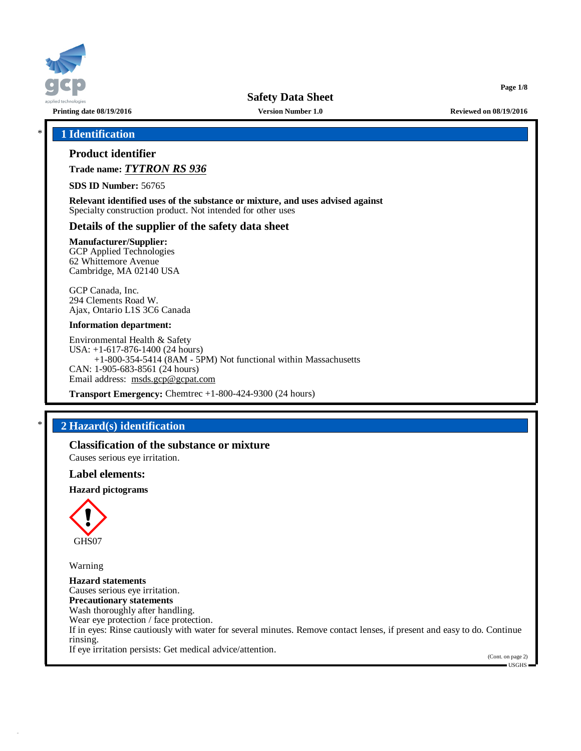

**Page 1/8**

# \* **1 Identification**

# **Product identifier**

**Trade name:** *TYTRON RS 936*

**SDS ID Number:** 56765

**Relevant identified uses of the substance or mixture, and uses advised against** Specialty construction product. Not intended for other uses

# **Details of the supplier of the safety data sheet**

**Manufacturer/Supplier:** GCP Applied Technologies

62 Whittemore Avenue Cambridge, MA 02140 USA

GCP Canada, Inc. 294 Clements Road W. Ajax, Ontario L1S 3C6 Canada

#### **Information department:**

Environmental Health & Safety USA: +1-617-876-1400 (24 hours) +1-800-354-5414 (8AM - 5PM) Not functional within Massachusetts CAN: 1-905-683-8561 (24 hours) Email address: [msds.gcp@gcpat.com](mailto:msds.gcp@gcpat.com)

**Transport Emergency:** Chemtrec +1-800-424-9300 (24 hours)

# \* **2 Hazard(s) identification**

**Classification of the substance or mixture**

Causes serious eye irritation.

#### **Label elements:**

#### **Hazard pictograms**



Warning

**Hazard statements** Causes serious eye irritation. **Precautionary statements** Wash thoroughly after handling. Wear eye protection / face protection. If in eyes: Rinse cautiously with water for several minutes. Remove contact lenses, if present and easy to do. Continue rinsing. If eye irritation persists: Get medical advice/attention.

(Cont. on page 2) USGHS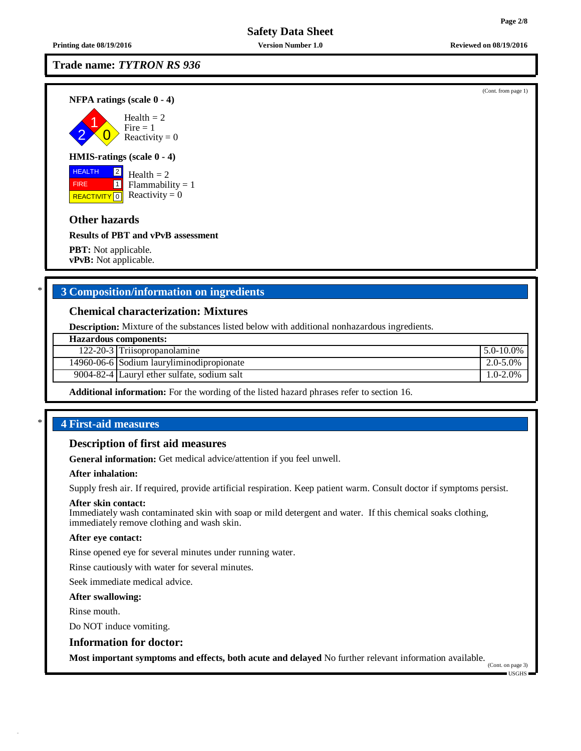**Printing date 08/19/2016 Version Number 1.0 Reviewed on 08/19/2016**

# **Trade name:** *TYTRON RS 936*

**NFPA ratings (scale 0 - 4)**



# **HMIS-ratings (scale 0 - 4)**

**HEALTH**  FIRE REACTIVITY  $\boxed{0}$  Reactivity = 0  $\boxed{2}$  $\overline{1}$ Health  $= 2$  $Flammability = 1$ 

# **Other hazards**

**Results of PBT and vPvB assessment**

**PBT:** Not applicable. **vPvB:** Not applicable.

# \* **3 Composition/information on ingredients**

## **Chemical characterization: Mixtures**

**Description:** Mixture of the substances listed below with additional nonhazardous ingredients.

| <b>Hazardous components:</b> |                                             |                 |  |
|------------------------------|---------------------------------------------|-----------------|--|
|                              | 122-20-3 Triisopropanolamine                | $15.0 - 10.0\%$ |  |
|                              | 14960-06-6 Sodium lauryliminodipropionate   | 2.0-5.0%        |  |
|                              | 9004-82-4 Lauryl ether sulfate, sodium salt | $1.0 - 2.0\%$   |  |
|                              |                                             |                 |  |

**Additional information:** For the wording of the listed hazard phrases refer to section 16.

## \* **4 First-aid measures**

## **Description of first aid measures**

**General information:** Get medical advice/attention if you feel unwell.

#### **After inhalation:**

Supply fresh air. If required, provide artificial respiration. Keep patient warm. Consult doctor if symptoms persist.

#### **After skin contact:**

Immediately wash contaminated skin with soap or mild detergent and water. If this chemical soaks clothing, immediately remove clothing and wash skin.

#### **After eye contact:**

Rinse opened eye for several minutes under running water.

Rinse cautiously with water for several minutes.

Seek immediate medical advice.

#### **After swallowing:**

Rinse mouth.

Do NOT induce vomiting.

## **Information for doctor:**

**Most important symptoms and effects, both acute and delayed** No further relevant information available.

(Cont. on page 3) USGHS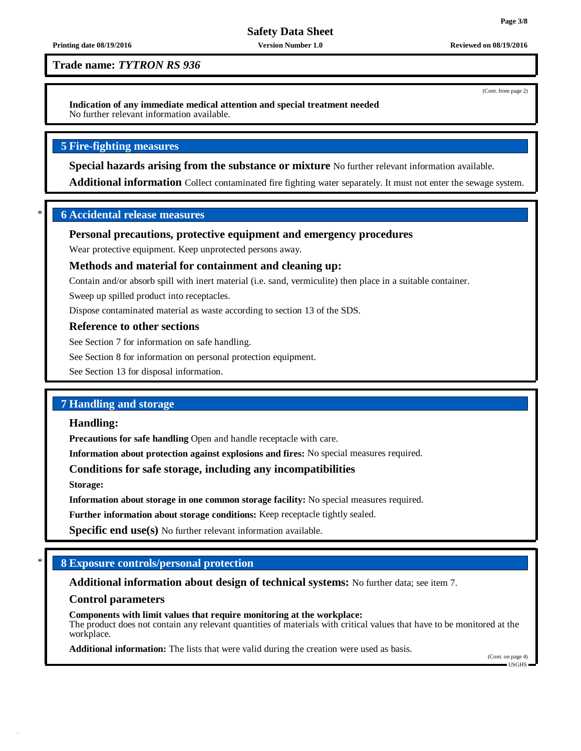(Cont. from page 2)

**Safety Data Sheet**

#### **Printing date 08/19/2016 Version Number 1.0 Reviewed on 08/19/2016**

**Trade name:** *TYTRON RS 936*

**Indication of any immediate medical attention and special treatment needed** No further relevant information available.

# **5 Fire-fighting measures**

**Special hazards arising from the substance or mixture** No further relevant information available.

**Additional information** Collect contaminated fire fighting water separately. It must not enter the sewage system.

# \* **6 Accidental release measures**

# **Personal precautions, protective equipment and emergency procedures**

Wear protective equipment. Keep unprotected persons away.

# **Methods and material for containment and cleaning up:**

Contain and/or absorb spill with inert material (i.e. sand, vermiculite) then place in a suitable container.

Sweep up spilled product into receptacles.

Dispose contaminated material as waste according to section 13 of the SDS.

## **Reference to other sections**

See Section 7 for information on safe handling.

See Section 8 for information on personal protection equipment.

See Section 13 for disposal information.

# **7 Handling and storage**

## **Handling:**

**Precautions for safe handling** Open and handle receptacle with care.

**Information about protection against explosions and fires:** No special measures required.

# **Conditions for safe storage, including any incompatibilities**

**Storage:**

**Information about storage in one common storage facility:** No special measures required.

**Further information about storage conditions:** Keep receptacle tightly sealed.

**Specific end use(s)** No further relevant information available.

# \* **8 Exposure controls/personal protection**

## **Additional information about design of technical systems:** No further data; see item 7.

## **Control parameters**

**Components with limit values that require monitoring at the workplace:** The product does not contain any relevant quantities of materials with critical values that have to be monitored at the workplace.

**Additional information:** The lists that were valid during the creation were used as basis.

(Cont. on page 4) USGHS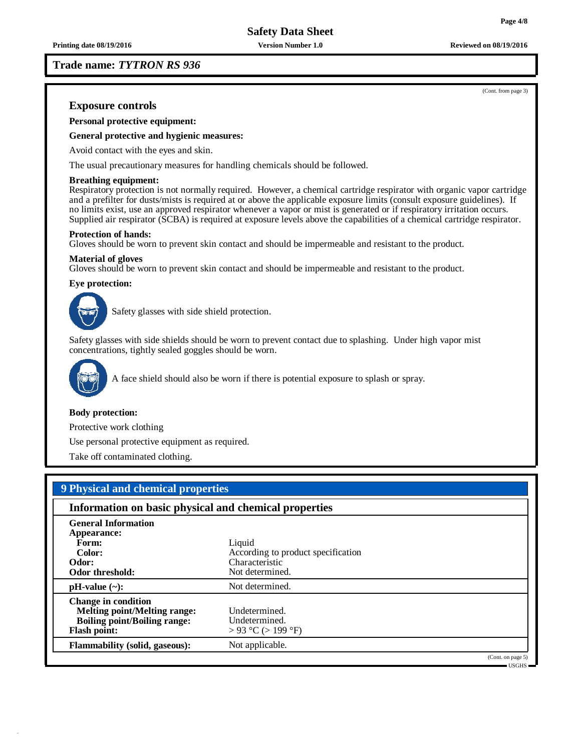**Printing date 08/19/2016 Version Number 1.0 Reviewed on 08/19/2016**

**Trade name:** *TYTRON RS 936*

**Exposure controls**

**Personal protective equipment:**

**General protective and hygienic measures:**

Avoid contact with the eyes and skin.

The usual precautionary measures for handling chemicals should be followed.

#### **Breathing equipment:**

Respiratory protection is not normally required. However, a chemical cartridge respirator with organic vapor cartridge and a prefilter for dusts/mists is required at or above the applicable exposure limits (consult exposure guidelines). If no limits exist, use an approved respirator whenever a vapor or mist is generated or if respiratory irritation occurs. Supplied air respirator (SCBA) is required at exposure levels above the capabilities of a chemical cartridge respirator.

#### **Protection of hands:**

Gloves should be worn to prevent skin contact and should be impermeable and resistant to the product.

#### **Material of gloves**

Gloves should be worn to prevent skin contact and should be impermeable and resistant to the product.

#### **Eye protection:**



Safety glasses with side shield protection.

Safety glasses with side shields should be worn to prevent contact due to splashing. Under high vapor mist concentrations, tightly sealed goggles should be worn.



A face shield should also be worn if there is potential exposure to splash or spray.

#### **Body protection:**

Protective work clothing

Use personal protective equipment as required.

Take off contaminated clothing.

| 9 Physical and chemical properties                                                                                              |                                                                                   |                   |  |  |
|---------------------------------------------------------------------------------------------------------------------------------|-----------------------------------------------------------------------------------|-------------------|--|--|
| Information on basic physical and chemical properties                                                                           |                                                                                   |                   |  |  |
| <b>General Information</b><br>Appearance:<br>Form:<br>Color:<br>Odor:<br>Odor threshold:                                        | Liquid<br>According to product specification<br>Characteristic<br>Not determined. |                   |  |  |
| $pH-value$ (~):                                                                                                                 | Not determined.                                                                   |                   |  |  |
| <b>Change in condition</b><br><b>Melting point/Melting range:</b><br><b>Boiling point/Boiling range:</b><br><b>Flash point:</b> | Undetermined.<br>Undetermined.<br>> 93 °C (> 199 °F)                              |                   |  |  |
| <b>Flammability (solid, gaseous):</b>                                                                                           | Not applicable.                                                                   |                   |  |  |
|                                                                                                                                 |                                                                                   | (Cont. on page 5) |  |  |

USGHS

(Cont. from page 3)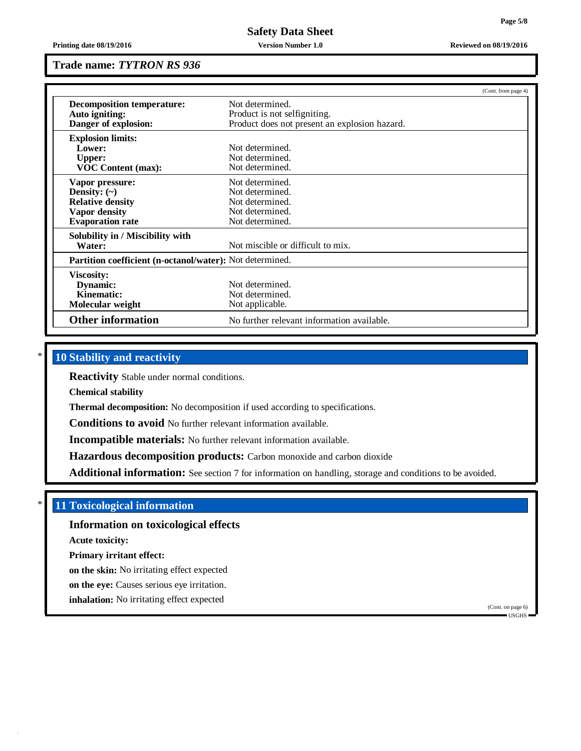**Printing date 08/19/2016 Version Number 1.0 Reviewed on 08/19/2016**

## **Trade name:** *TYTRON RS 936*

|                                                          | (Cont. from page 4)                           |  |  |  |
|----------------------------------------------------------|-----------------------------------------------|--|--|--|
| Decomposition temperature:                               | Not determined.                               |  |  |  |
| Auto igniting:                                           | Product is not selfigniting.                  |  |  |  |
| Danger of explosion:                                     | Product does not present an explosion hazard. |  |  |  |
| <b>Explosion limits:</b>                                 |                                               |  |  |  |
| Lower:                                                   | Not determined.                               |  |  |  |
| <b>Upper:</b>                                            | Not determined.                               |  |  |  |
| <b>VOC Content (max):</b>                                | Not determined.                               |  |  |  |
| Vapor pressure:                                          | Not determined.                               |  |  |  |
| Density: $(\sim)$                                        | Not determined.                               |  |  |  |
| <b>Relative density</b>                                  | Not determined.                               |  |  |  |
| <b>Vapor density</b>                                     | Not determined.                               |  |  |  |
| <b>Evaporation rate</b>                                  | Not determined.                               |  |  |  |
| Solubility in / Miscibility with                         |                                               |  |  |  |
| Water:                                                   | Not miscible or difficult to mix.             |  |  |  |
| Partition coefficient (n-octanol/water): Not determined. |                                               |  |  |  |
| <b>Viscosity:</b>                                        |                                               |  |  |  |
| Dynamic:                                                 | Not determined.                               |  |  |  |
| Kinematic:                                               | Not determined.                               |  |  |  |
| Molecular weight                                         | Not applicable.                               |  |  |  |
| <b>Other information</b>                                 | No further relevant information available.    |  |  |  |

# \* **10 Stability and reactivity**

**Reactivity** Stable under normal conditions.

**Chemical stability**

**Thermal decomposition:** No decomposition if used according to specifications.

**Conditions to avoid** No further relevant information available.

**Incompatible materials:** No further relevant information available.

**Hazardous decomposition products:** Carbon monoxide and carbon dioxide

**Additional information:** See section 7 for information on handling, storage and conditions to be avoided.

# \* **11 Toxicological information**

**Information on toxicological effects**

**Acute toxicity:**

**Primary irritant effect:**

**on the skin:** No irritating effect expected

**on the eye:** Causes serious eye irritation.

**inhalation:** No irritating effect expected

(Cont. on page 6) USGHS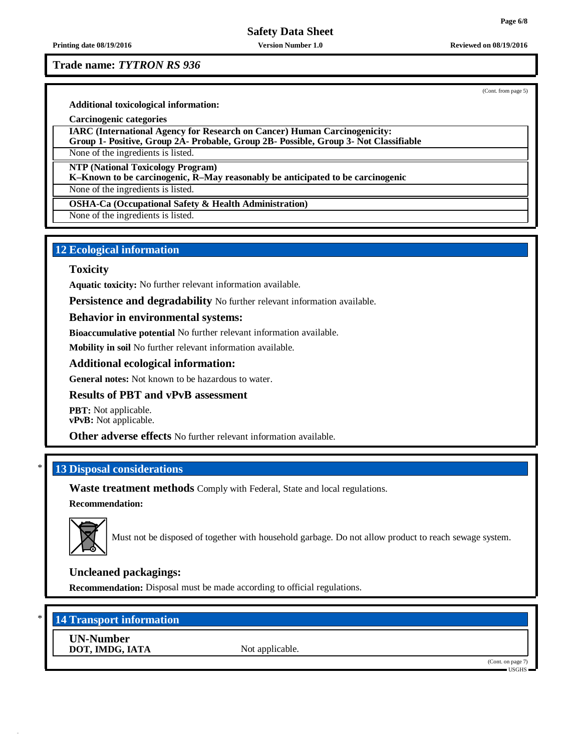**Printing date 08/19/2016 Version Number 1.0 Reviewed on 08/19/2016**

## **Trade name:** *TYTRON RS 936*

(Cont. from page 5)

**Additional toxicological information:**

**Carcinogenic categories**

**IARC (International Agency for Research on Cancer) Human Carcinogenicity:**

**Group 1- Positive, Group 2A- Probable, Group 2B- Possible, Group 3- Not Classifiable**

None of the ingredients is listed.

**NTP (National Toxicology Program)**

**K–Known to be carcinogenic, R–May reasonably be anticipated to be carcinogenic**

None of the ingredients is listed.

**OSHA-Ca (Occupational Safety & Health Administration)**

None of the ingredients is listed.

# **12 Ecological information**

## **Toxicity**

**Aquatic toxicity:** No further relevant information available.

**Persistence and degradability** No further relevant information available.

# **Behavior in environmental systems:**

**Bioaccumulative potential** No further relevant information available.

**Mobility in soil** No further relevant information available.

# **Additional ecological information:**

**General notes:** Not known to be hazardous to water.

## **Results of PBT and vPvB assessment**

**PBT:** Not applicable. **vPvB:** Not applicable.

**Other adverse effects** No further relevant information available.

# \* **13 Disposal considerations**

**Waste treatment methods** Comply with Federal, State and local regulations.

## **Recommendation:**



Must not be disposed of together with household garbage. Do not allow product to reach sewage system.

# **Uncleaned packagings:**

**Recommendation:** Disposal must be made according to official regulations.

# \* **14 Transport information**

**UN-Number DOT, IMDG, IATA** Not applicable.

(Cont. on page 7) USGHS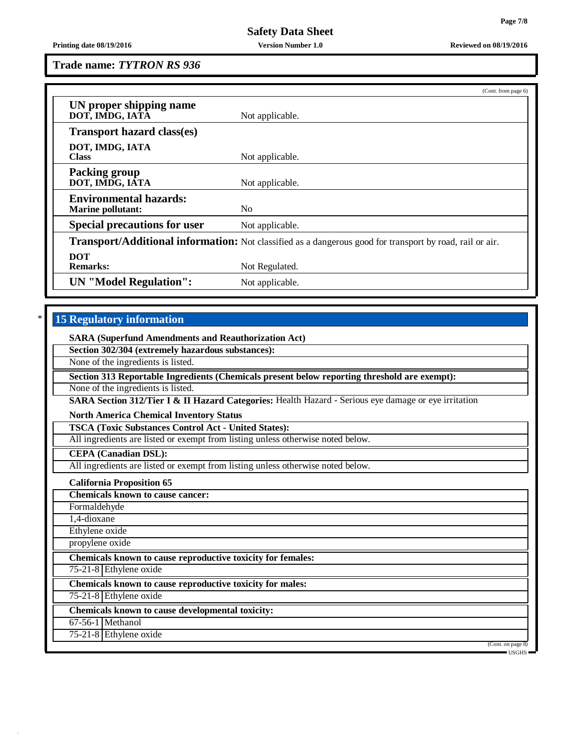**Printing date 08/19/2016 Version Number 1.0 Reviewed on 08/19/2016**

## **Trade name:** *TYTRON RS 936*

|                                                                                                                 | (Cont. from page 6) |  |  |
|-----------------------------------------------------------------------------------------------------------------|---------------------|--|--|
| UN proper shipping name<br>DOT, IMDG, IATA                                                                      | Not applicable.     |  |  |
| <b>Transport hazard class(es)</b>                                                                               |                     |  |  |
| DOT, IMDG, IATA<br><b>Class</b>                                                                                 | Not applicable.     |  |  |
| <b>Packing group</b><br>DOT, IMDG, IATA                                                                         | Not applicable.     |  |  |
| <b>Environmental hazards:</b><br><b>Marine pollutant:</b>                                                       | N <sub>0</sub>      |  |  |
| <b>Special precautions for user</b>                                                                             | Not applicable.     |  |  |
| <b>Transport/Additional information:</b> Not classified as a dangerous good for transport by road, rail or air. |                     |  |  |
| <b>DOT</b><br><b>Remarks:</b>                                                                                   | Not Regulated.      |  |  |
| <b>UN</b> "Model Regulation":                                                                                   | Not applicable.     |  |  |

# \* **15 Regulatory information**

**SARA (Superfund Amendments and Reauthorization Act)**

**Section 302/304 (extremely hazardous substances):**

None of the ingredients is listed.

**Section 313 Reportable Ingredients (Chemicals present below reporting threshold are exempt):**

None of the ingredients is listed.

**SARA Section 312/Tier I & II Hazard Categories:** Health Hazard - Serious eye damage or eye irritation

**North America Chemical Inventory Status**

**TSCA (Toxic Substances Control Act - United States):**

All ingredients are listed or exempt from listing unless otherwise noted below.

**CEPA (Canadian DSL):**

All ingredients are listed or exempt from listing unless otherwise noted below.

**California Proposition 65**

**Chemicals known to cause cancer:**

Formaldehyde

1,4-dioxane

Ethylene oxide

propylene oxide

**Chemicals known to cause reproductive toxicity for females:**

75-21-8 Ethylene oxide

**Chemicals known to cause reproductive toxicity for males:**

75-21-8 Ethylene oxide

**Chemicals known to cause developmental toxicity:**

67-56-1 Methanol

75-21-8 Ethylene oxide

(Cont. on page 8) USGHS